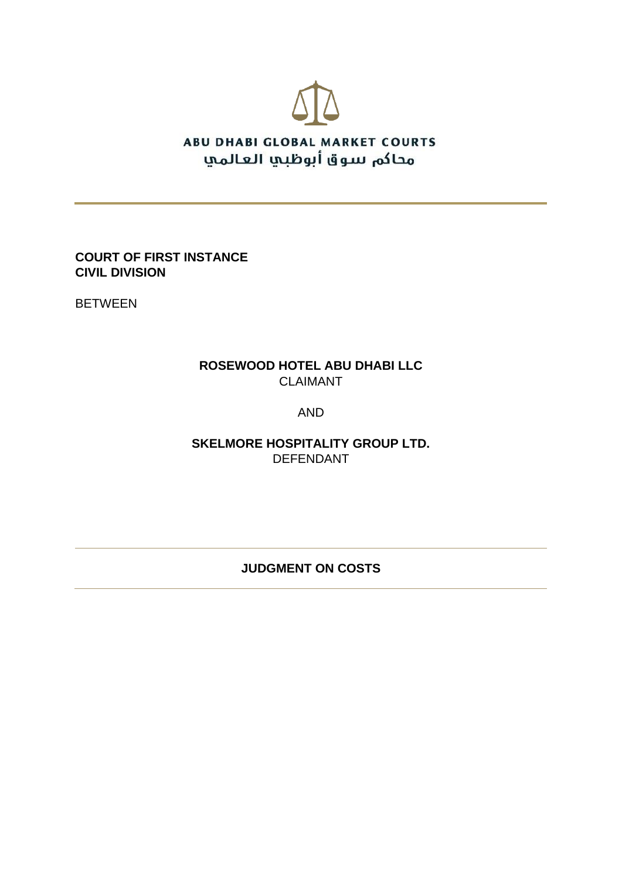

**COURT OF FIRST INSTANCE CIVIL DIVISION**

BETWEEN

# **ROSEWOOD HOTEL ABU DHABI LLC** CLAIMANT

# AND

**SKELMORE HOSPITALITY GROUP LTD.** DEFENDANT

# **JUDGMENT ON COSTS**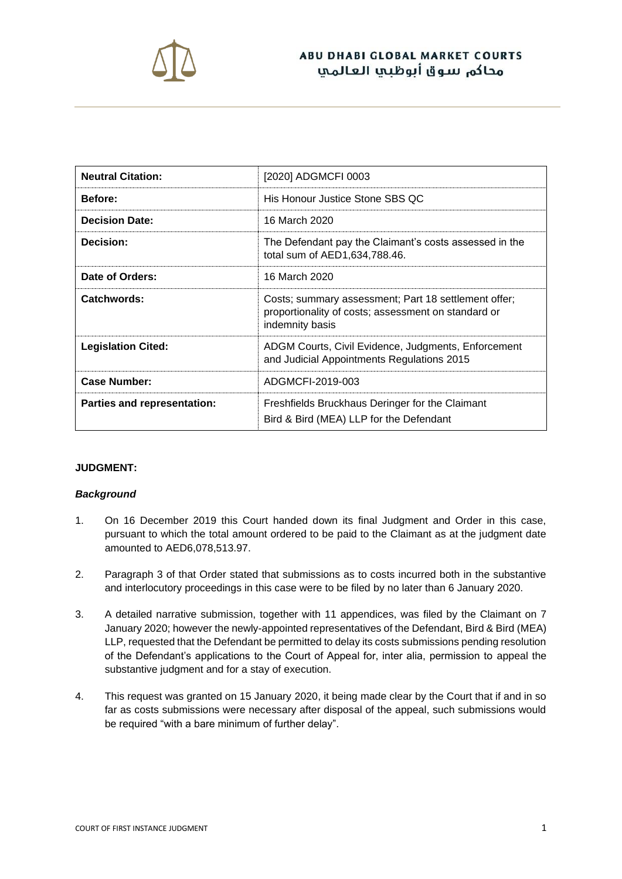

| <b>Neutral Citation:</b>    | [2020] ADGMCFI 0003                                                                                                            |
|-----------------------------|--------------------------------------------------------------------------------------------------------------------------------|
| <b>Before:</b>              | His Honour Justice Stone SBS QC                                                                                                |
| <b>Decision Date:</b>       | 16 March 2020                                                                                                                  |
| Decision:                   | The Defendant pay the Claimant's costs assessed in the<br>total sum of AED1,634,788.46.                                        |
| Date of Orders:             | 16 March 2020                                                                                                                  |
| Catchwords:                 | Costs; summary assessment; Part 18 settlement offer;<br>proportionality of costs; assessment on standard or<br>indemnity basis |
| <b>Legislation Cited:</b>   | ADGM Courts, Civil Evidence, Judgments, Enforcement<br>and Judicial Appointments Regulations 2015                              |
| <b>Case Number:</b>         | ADGMCFI-2019-003                                                                                                               |
| Parties and representation: | Freshfields Bruckhaus Deringer for the Claimant<br>Bird & Bird (MEA) LLP for the Defendant                                     |

## **JUDGMENT:**

#### *Background*

- 1. On 16 December 2019 this Court handed down its final Judgment and Order in this case, pursuant to which the total amount ordered to be paid to the Claimant as at the judgment date amounted to AED6,078,513.97.
- 2. Paragraph 3 of that Order stated that submissions as to costs incurred both in the substantive and interlocutory proceedings in this case were to be filed by no later than 6 January 2020.
- 3. A detailed narrative submission, together with 11 appendices, was filed by the Claimant on 7 January 2020; however the newly-appointed representatives of the Defendant, Bird & Bird (MEA) LLP, requested that the Defendant be permitted to delay its costs submissions pending resolution of the Defendant's applications to the Court of Appeal for, inter alia, permission to appeal the substantive judgment and for a stay of execution.
- 4. This request was granted on 15 January 2020, it being made clear by the Court that if and in so far as costs submissions were necessary after disposal of the appeal, such submissions would be required "with a bare minimum of further delay".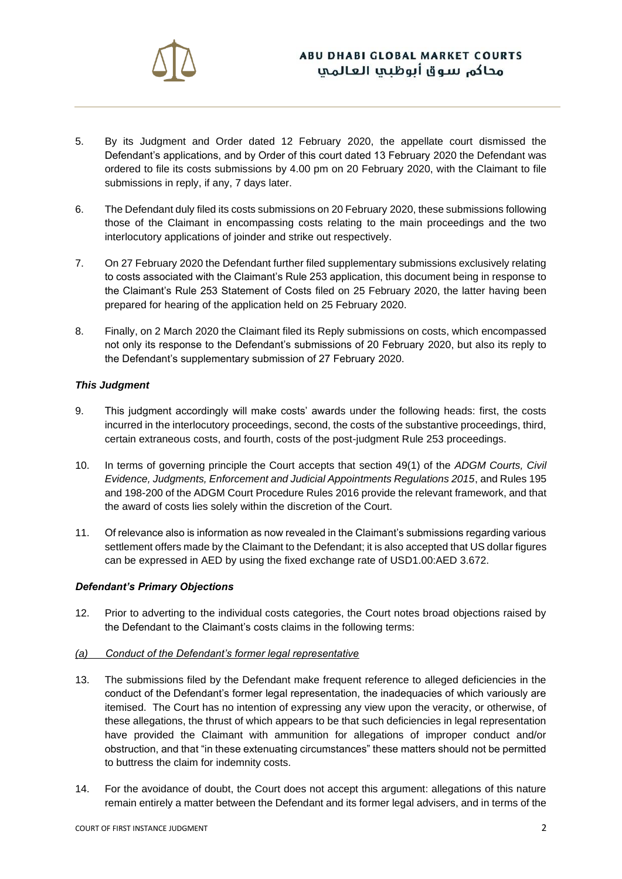

- 5. By its Judgment and Order dated 12 February 2020, the appellate court dismissed the Defendant's applications, and by Order of this court dated 13 February 2020 the Defendant was ordered to file its costs submissions by 4.00 pm on 20 February 2020, with the Claimant to file submissions in reply, if any, 7 days later.
- 6. The Defendant duly filed its costs submissions on 20 February 2020, these submissions following those of the Claimant in encompassing costs relating to the main proceedings and the two interlocutory applications of joinder and strike out respectively.
- 7. On 27 February 2020 the Defendant further filed supplementary submissions exclusively relating to costs associated with the Claimant's Rule 253 application, this document being in response to the Claimant's Rule 253 Statement of Costs filed on 25 February 2020, the latter having been prepared for hearing of the application held on 25 February 2020.
- 8. Finally, on 2 March 2020 the Claimant filed its Reply submissions on costs, which encompassed not only its response to the Defendant's submissions of 20 February 2020, but also its reply to the Defendant's supplementary submission of 27 February 2020.

## *This Judgment*

- 9. This judgment accordingly will make costs' awards under the following heads: first, the costs incurred in the interlocutory proceedings, second, the costs of the substantive proceedings, third, certain extraneous costs, and fourth, costs of the post-judgment Rule 253 proceedings.
- 10. In terms of governing principle the Court accepts that section 49(1) of the *ADGM Courts, Civil Evidence, Judgments, Enforcement and Judicial Appointments Regulations 2015*, and Rules 195 and 198-200 of the ADGM Court Procedure Rules 2016 provide the relevant framework, and that the award of costs lies solely within the discretion of the Court.
- 11. Of relevance also is information as now revealed in the Claimant's submissions regarding various settlement offers made by the Claimant to the Defendant; it is also accepted that US dollar figures can be expressed in AED by using the fixed exchange rate of USD1.00:AED 3.672.

## *Defendant's Primary Objections*

12. Prior to adverting to the individual costs categories, the Court notes broad objections raised by the Defendant to the Claimant's costs claims in the following terms:

## *(a) Conduct of the Defendant's former legal representative*

- 13. The submissions filed by the Defendant make frequent reference to alleged deficiencies in the conduct of the Defendant's former legal representation, the inadequacies of which variously are itemised. The Court has no intention of expressing any view upon the veracity, or otherwise, of these allegations, the thrust of which appears to be that such deficiencies in legal representation have provided the Claimant with ammunition for allegations of improper conduct and/or obstruction, and that "in these extenuating circumstances" these matters should not be permitted to buttress the claim for indemnity costs.
- 14. For the avoidance of doubt, the Court does not accept this argument: allegations of this nature remain entirely a matter between the Defendant and its former legal advisers, and in terms of the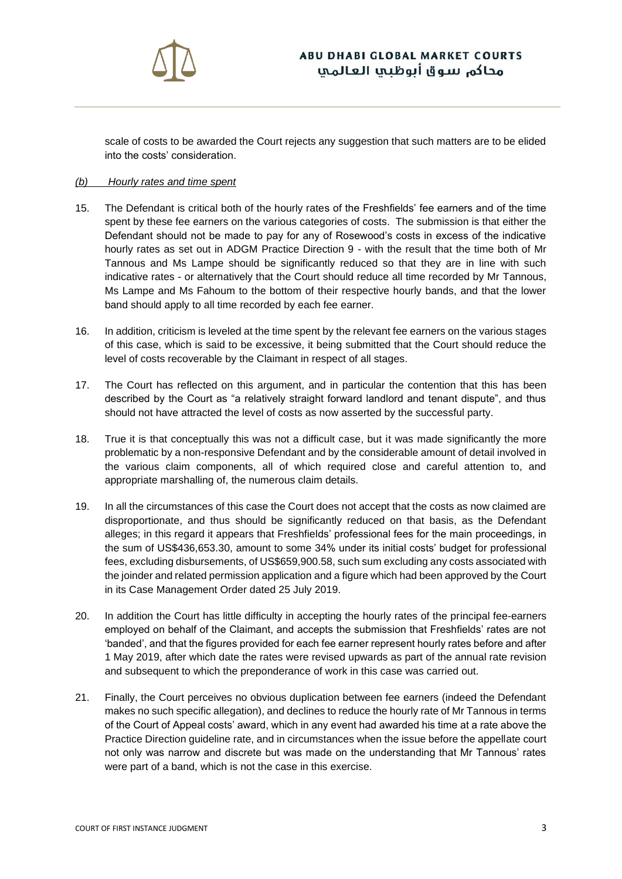

scale of costs to be awarded the Court rejects any suggestion that such matters are to be elided into the costs' consideration.

#### *(b) Hourly rates and time spent*

- 15. The Defendant is critical both of the hourly rates of the Freshfields' fee earners and of the time spent by these fee earners on the various categories of costs. The submission is that either the Defendant should not be made to pay for any of Rosewood's costs in excess of the indicative hourly rates as set out in ADGM Practice Direction 9 - with the result that the time both of Mr Tannous and Ms Lampe should be significantly reduced so that they are in line with such indicative rates - or alternatively that the Court should reduce all time recorded by Mr Tannous, Ms Lampe and Ms Fahoum to the bottom of their respective hourly bands, and that the lower band should apply to all time recorded by each fee earner.
- 16. In addition, criticism is leveled at the time spent by the relevant fee earners on the various stages of this case, which is said to be excessive, it being submitted that the Court should reduce the level of costs recoverable by the Claimant in respect of all stages.
- 17. The Court has reflected on this argument, and in particular the contention that this has been described by the Court as "a relatively straight forward landlord and tenant dispute", and thus should not have attracted the level of costs as now asserted by the successful party.
- 18. True it is that conceptually this was not a difficult case, but it was made significantly the more problematic by a non-responsive Defendant and by the considerable amount of detail involved in the various claim components, all of which required close and careful attention to, and appropriate marshalling of, the numerous claim details.
- 19. In all the circumstances of this case the Court does not accept that the costs as now claimed are disproportionate, and thus should be significantly reduced on that basis, as the Defendant alleges; in this regard it appears that Freshfields' professional fees for the main proceedings, in the sum of US\$436,653.30, amount to some 34% under its initial costs' budget for professional fees, excluding disbursements, of US\$659,900.58, such sum excluding any costs associated with the joinder and related permission application and a figure which had been approved by the Court in its Case Management Order dated 25 July 2019.
- 20. In addition the Court has little difficulty in accepting the hourly rates of the principal fee-earners employed on behalf of the Claimant, and accepts the submission that Freshfields' rates are not 'banded', and that the figures provided for each fee earner represent hourly rates before and after 1 May 2019, after which date the rates were revised upwards as part of the annual rate revision and subsequent to which the preponderance of work in this case was carried out.
- 21. Finally, the Court perceives no obvious duplication between fee earners (indeed the Defendant makes no such specific allegation), and declines to reduce the hourly rate of Mr Tannous in terms of the Court of Appeal costs' award, which in any event had awarded his time at a rate above the Practice Direction guideline rate, and in circumstances when the issue before the appellate court not only was narrow and discrete but was made on the understanding that Mr Tannous' rates were part of a band, which is not the case in this exercise.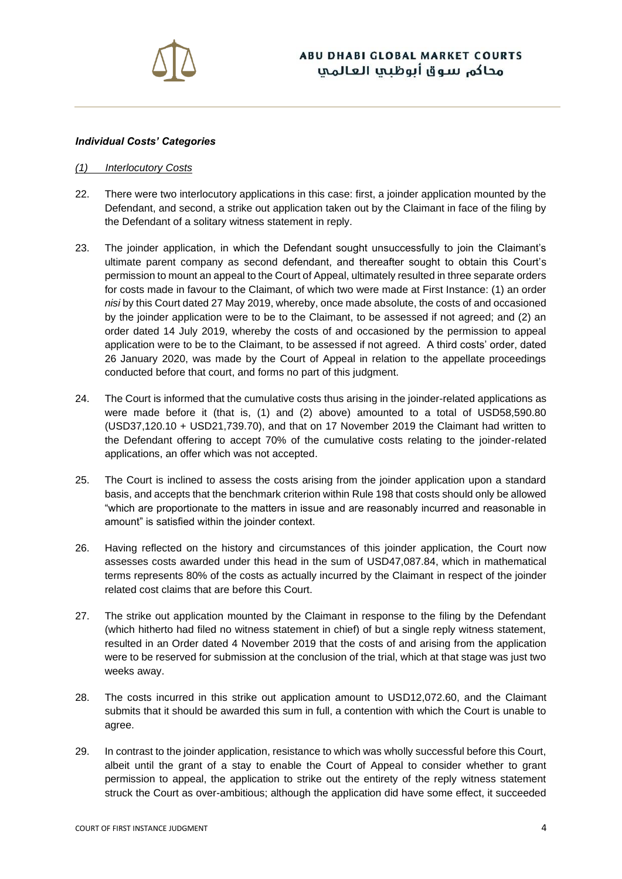

#### *Individual Costs' Categories*

#### *(1) Interlocutory Costs*

- 22. There were two interlocutory applications in this case: first, a joinder application mounted by the Defendant, and second, a strike out application taken out by the Claimant in face of the filing by the Defendant of a solitary witness statement in reply.
- 23. The joinder application, in which the Defendant sought unsuccessfully to join the Claimant's ultimate parent company as second defendant, and thereafter sought to obtain this Court's permission to mount an appeal to the Court of Appeal, ultimately resulted in three separate orders for costs made in favour to the Claimant, of which two were made at First Instance: (1) an order *nisi* by this Court dated 27 May 2019, whereby, once made absolute, the costs of and occasioned by the joinder application were to be to the Claimant, to be assessed if not agreed; and (2) an order dated 14 July 2019, whereby the costs of and occasioned by the permission to appeal application were to be to the Claimant, to be assessed if not agreed. A third costs' order, dated 26 January 2020, was made by the Court of Appeal in relation to the appellate proceedings conducted before that court, and forms no part of this judgment.
- 24. The Court is informed that the cumulative costs thus arising in the joinder-related applications as were made before it (that is, (1) and (2) above) amounted to a total of USD58,590.80 (USD37,120.10 + USD21,739.70), and that on 17 November 2019 the Claimant had written to the Defendant offering to accept 70% of the cumulative costs relating to the joinder-related applications, an offer which was not accepted.
- 25. The Court is inclined to assess the costs arising from the joinder application upon a standard basis, and accepts that the benchmark criterion within Rule 198 that costs should only be allowed "which are proportionate to the matters in issue and are reasonably incurred and reasonable in amount" is satisfied within the joinder context.
- 26. Having reflected on the history and circumstances of this joinder application, the Court now assesses costs awarded under this head in the sum of USD47,087.84, which in mathematical terms represents 80% of the costs as actually incurred by the Claimant in respect of the joinder related cost claims that are before this Court.
- 27. The strike out application mounted by the Claimant in response to the filing by the Defendant (which hitherto had filed no witness statement in chief) of but a single reply witness statement, resulted in an Order dated 4 November 2019 that the costs of and arising from the application were to be reserved for submission at the conclusion of the trial, which at that stage was just two weeks away.
- 28. The costs incurred in this strike out application amount to USD12,072.60, and the Claimant submits that it should be awarded this sum in full, a contention with which the Court is unable to agree.
- 29. In contrast to the joinder application, resistance to which was wholly successful before this Court, albeit until the grant of a stay to enable the Court of Appeal to consider whether to grant permission to appeal, the application to strike out the entirety of the reply witness statement struck the Court as over-ambitious; although the application did have some effect, it succeeded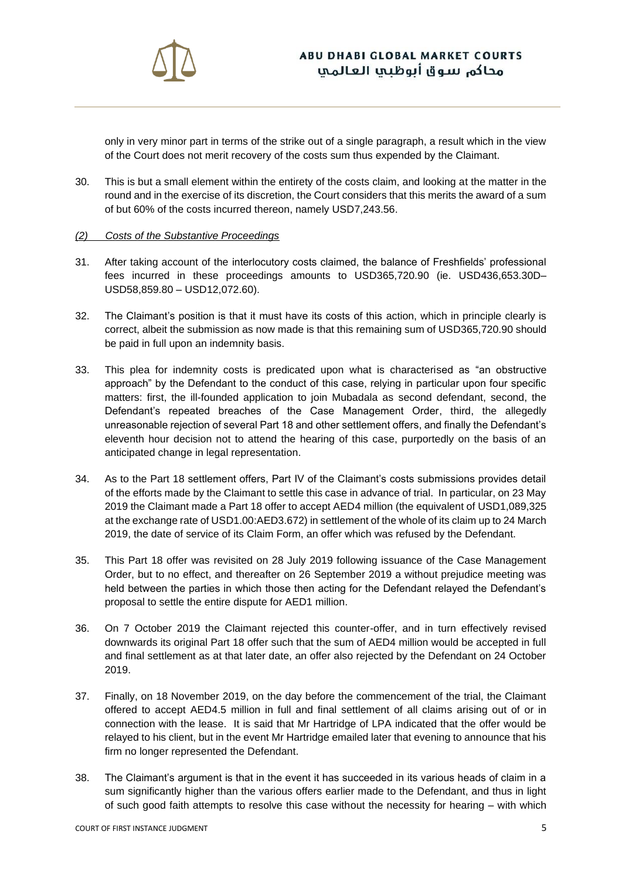

only in very minor part in terms of the strike out of a single paragraph, a result which in the view of the Court does not merit recovery of the costs sum thus expended by the Claimant.

30. This is but a small element within the entirety of the costs claim, and looking at the matter in the round and in the exercise of its discretion, the Court considers that this merits the award of a sum of but 60% of the costs incurred thereon, namely USD7,243.56.

#### *(2) Costs of the Substantive Proceedings*

- 31. After taking account of the interlocutory costs claimed, the balance of Freshfields' professional fees incurred in these proceedings amounts to USD365,720.90 (ie. USD436,653.30D– USD58,859.80 – USD12,072.60).
- 32. The Claimant's position is that it must have its costs of this action, which in principle clearly is correct, albeit the submission as now made is that this remaining sum of USD365,720.90 should be paid in full upon an indemnity basis.
- 33. This plea for indemnity costs is predicated upon what is characterised as "an obstructive approach" by the Defendant to the conduct of this case, relying in particular upon four specific matters: first, the ill-founded application to join Mubadala as second defendant, second, the Defendant's repeated breaches of the Case Management Order, third, the allegedly unreasonable rejection of several Part 18 and other settlement offers, and finally the Defendant's eleventh hour decision not to attend the hearing of this case, purportedly on the basis of an anticipated change in legal representation.
- 34. As to the Part 18 settlement offers, Part IV of the Claimant's costs submissions provides detail of the efforts made by the Claimant to settle this case in advance of trial. In particular, on 23 May 2019 the Claimant made a Part 18 offer to accept AED4 million (the equivalent of USD1,089,325 at the exchange rate of USD1.00:AED3.672) in settlement of the whole of its claim up to 24 March 2019, the date of service of its Claim Form, an offer which was refused by the Defendant.
- 35. This Part 18 offer was revisited on 28 July 2019 following issuance of the Case Management Order, but to no effect, and thereafter on 26 September 2019 a without prejudice meeting was held between the parties in which those then acting for the Defendant relayed the Defendant's proposal to settle the entire dispute for AED1 million.
- 36. On 7 October 2019 the Claimant rejected this counter-offer, and in turn effectively revised downwards its original Part 18 offer such that the sum of AED4 million would be accepted in full and final settlement as at that later date, an offer also rejected by the Defendant on 24 October 2019.
- 37. Finally, on 18 November 2019, on the day before the commencement of the trial, the Claimant offered to accept AED4.5 million in full and final settlement of all claims arising out of or in connection with the lease. It is said that Mr Hartridge of LPA indicated that the offer would be relayed to his client, but in the event Mr Hartridge emailed later that evening to announce that his firm no longer represented the Defendant.
- 38. The Claimant's argument is that in the event it has succeeded in its various heads of claim in a sum significantly higher than the various offers earlier made to the Defendant, and thus in light of such good faith attempts to resolve this case without the necessity for hearing – with which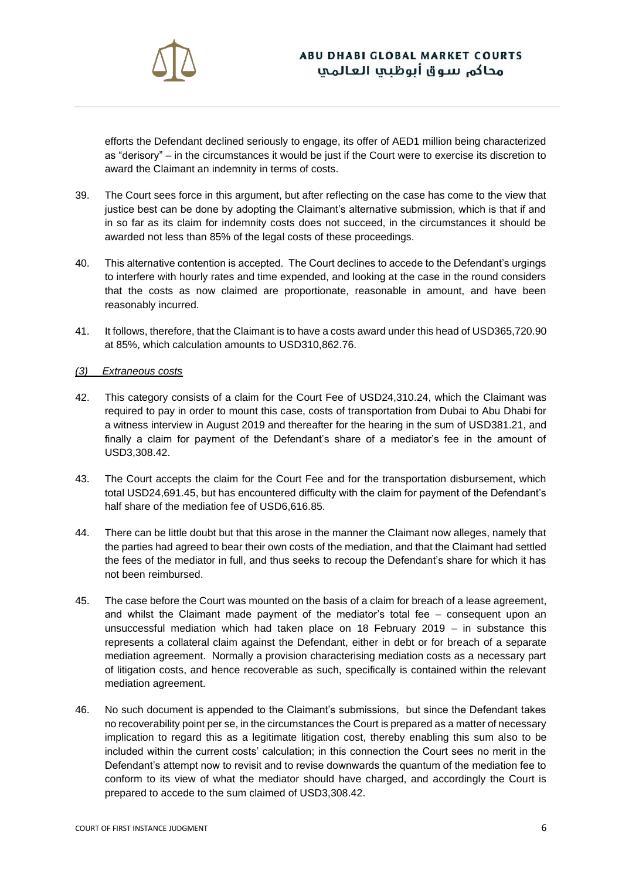

efforts the Defendant declined seriously to engage, its offer of AED1 million being characterized as "derisory" – in the circumstances it would be just if the Court were to exercise its discretion to award the Claimant an indemnity in terms of costs.

- 39. The Court sees force in this argument, but after reflecting on the case has come to the view that justice best can be done by adopting the Claimant's alternative submission, which is that if and in so far as its claim for indemnity costs does not succeed, in the circumstances it should be awarded not less than 85% of the legal costs of these proceedings.
- 40. This alternative contention is accepted. The Court declines to accede to the Defendant's urgings to interfere with hourly rates and time expended, and looking at the case in the round considers that the costs as now claimed are proportionate, reasonable in amount, and have been reasonably incurred.
- 41. It follows, therefore, that the Claimant is to have a costs award under this head of USD365,720.90 at 85%, which calculation amounts to USD310,862.76.

#### *(3) Extraneous costs*

- 42. This category consists of a claim for the Court Fee of USD24,310.24, which the Claimant was required to pay in order to mount this case, costs of transportation from Dubai to Abu Dhabi for a witness interview in August 2019 and thereafter for the hearing in the sum of USD381.21, and finally a claim for payment of the Defendant's share of a mediator's fee in the amount of USD3,308.42.
- 43. The Court accepts the claim for the Court Fee and for the transportation disbursement, which total USD24,691.45, but has encountered difficulty with the claim for payment of the Defendant's half share of the mediation fee of USD6,616.85.
- 44. There can be little doubt but that this arose in the manner the Claimant now alleges, namely that the parties had agreed to bear their own costs of the mediation, and that the Claimant had settled the fees of the mediator in full, and thus seeks to recoup the Defendant's share for which it has not been reimbursed.
- 45. The case before the Court was mounted on the basis of a claim for breach of a lease agreement, and whilst the Claimant made payment of the mediator's total fee – consequent upon an unsuccessful mediation which had taken place on 18 February 2019 – in substance this represents a collateral claim against the Defendant, either in debt or for breach of a separate mediation agreement. Normally a provision characterising mediation costs as a necessary part of litigation costs, and hence recoverable as such, specifically is contained within the relevant mediation agreement.
- 46. No such document is appended to the Claimant's submissions, but since the Defendant takes no recoverability point per se, in the circumstances the Court is prepared as a matter of necessary implication to regard this as a legitimate litigation cost, thereby enabling this sum also to be included within the current costs' calculation; in this connection the Court sees no merit in the Defendant's attempt now to revisit and to revise downwards the quantum of the mediation fee to conform to its view of what the mediator should have charged, and accordingly the Court is prepared to accede to the sum claimed of USD3,308.42.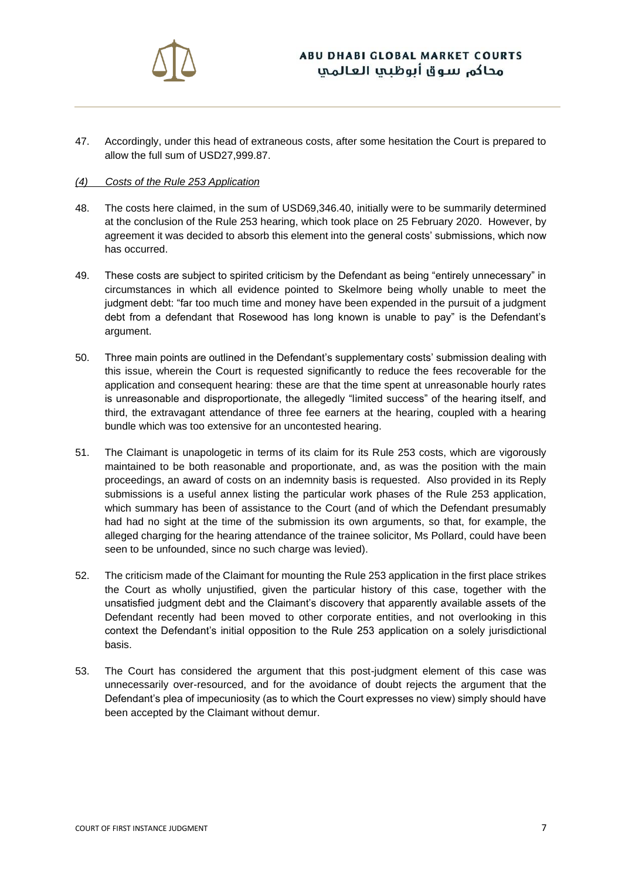

47. Accordingly, under this head of extraneous costs, after some hesitation the Court is prepared to allow the full sum of USD27,999.87.

#### *(4) Costs of the Rule 253 Application*

- 48. The costs here claimed, in the sum of USD69,346.40, initially were to be summarily determined at the conclusion of the Rule 253 hearing, which took place on 25 February 2020. However, by agreement it was decided to absorb this element into the general costs' submissions, which now has occurred.
- 49. These costs are subject to spirited criticism by the Defendant as being "entirely unnecessary" in circumstances in which all evidence pointed to Skelmore being wholly unable to meet the judgment debt: "far too much time and money have been expended in the pursuit of a judgment debt from a defendant that Rosewood has long known is unable to pay" is the Defendant's argument.
- 50. Three main points are outlined in the Defendant's supplementary costs' submission dealing with this issue, wherein the Court is requested significantly to reduce the fees recoverable for the application and consequent hearing: these are that the time spent at unreasonable hourly rates is unreasonable and disproportionate, the allegedly "limited success" of the hearing itself, and third, the extravagant attendance of three fee earners at the hearing, coupled with a hearing bundle which was too extensive for an uncontested hearing.
- 51. The Claimant is unapologetic in terms of its claim for its Rule 253 costs, which are vigorously maintained to be both reasonable and proportionate, and, as was the position with the main proceedings, an award of costs on an indemnity basis is requested. Also provided in its Reply submissions is a useful annex listing the particular work phases of the Rule 253 application, which summary has been of assistance to the Court (and of which the Defendant presumably had had no sight at the time of the submission its own arguments, so that, for example, the alleged charging for the hearing attendance of the trainee solicitor, Ms Pollard, could have been seen to be unfounded, since no such charge was levied).
- 52. The criticism made of the Claimant for mounting the Rule 253 application in the first place strikes the Court as wholly unjustified, given the particular history of this case, together with the unsatisfied judgment debt and the Claimant's discovery that apparently available assets of the Defendant recently had been moved to other corporate entities, and not overlooking in this context the Defendant's initial opposition to the Rule 253 application on a solely jurisdictional basis.
- 53. The Court has considered the argument that this post-judgment element of this case was unnecessarily over-resourced, and for the avoidance of doubt rejects the argument that the Defendant's plea of impecuniosity (as to which the Court expresses no view) simply should have been accepted by the Claimant without demur.